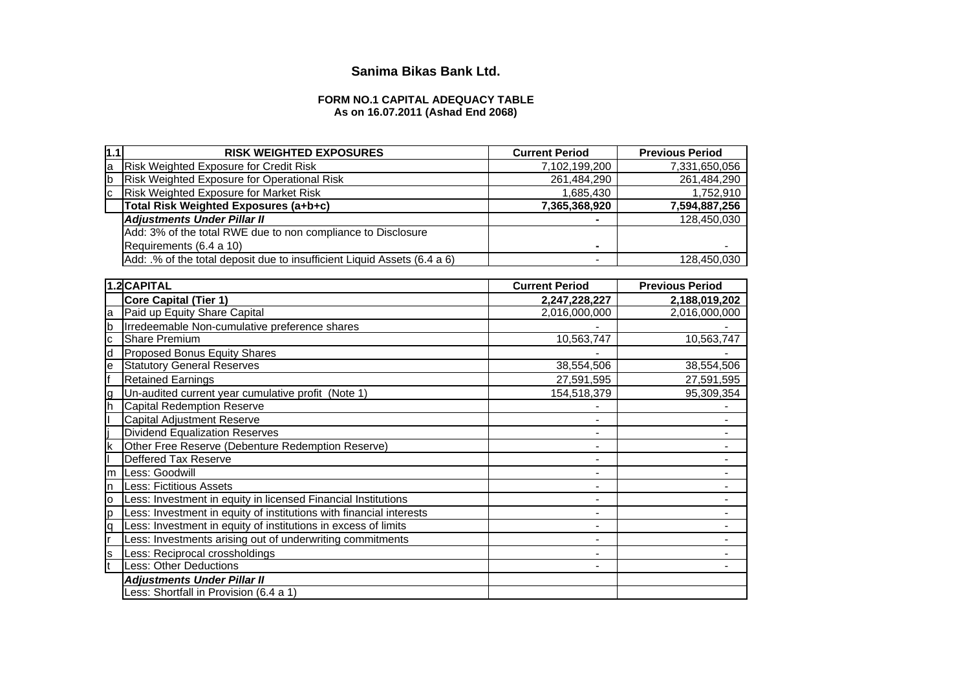# **Sanima Bikas Bank Ltd.**

## **FORM NO.1 CAPITAL ADEQUACY TABLE As on 16.07.2011 (Ashad End 2068)**

| $\vert 1.1$ | <b>RISK WEIGHTED EXPOSURES</b>                                           | <b>Current Period</b> | <b>Previous Period</b> |
|-------------|--------------------------------------------------------------------------|-----------------------|------------------------|
| la          | <b>Risk Weighted Exposure for Credit Risk</b>                            | 7,102,199,200         | 7,331,650,056          |
| lb          | Risk Weighted Exposure for Operational Risk                              | 261,484,290           | 261,484,290            |
| Iс          | <b>Risk Weighted Exposure for Market Risk</b>                            | 1,685,430             | 1,752,910              |
|             | Total Risk Weighted Exposures (a+b+c)                                    | 7,365,368,920         | 7,594,887,256          |
|             | <b>Adjustments Under Pillar II</b>                                       |                       | 128,450,030            |
|             | Add: 3% of the total RWE due to non compliance to Disclosure             |                       |                        |
|             | Requirements (6.4 a 10)                                                  | -                     |                        |
|             | Add: .% of the total deposit due to insufficient Liquid Assets (6.4 a 6) |                       | 128,450,030            |
|             |                                                                          |                       |                        |
|             | 1.2 CAPITAL                                                              | <b>Current Period</b> | <b>Previous Period</b> |
|             | Core Capital (Tier 1)                                                    | 2,247,228,227         | 2,188,019,202          |
| la          | Paid up Equity Share Capital                                             | 2,016,000,000         | 2,016,000,000          |
| lb          | Irredeemable Non-cumulative preference shares                            |                       |                        |
| Iс          | <b>Share Premium</b>                                                     | 10.563.747            | 10,563,747             |
| ld          | <b>Proposed Bonus Equity Shares</b>                                      |                       |                        |
|             |                                                                          |                       |                        |

|    | <b>Core Capital (Tier 1)</b>                                        | 2,247,228,227  | 2,188,019,202 |
|----|---------------------------------------------------------------------|----------------|---------------|
| la | Paid up Equity Share Capital                                        | 2,016,000,000  | 2,016,000,000 |
| lb | Irredeemable Non-cumulative preference shares                       |                |               |
| Iс | Share Premium                                                       | 10,563,747     | 10,563,747    |
| ld | <b>Proposed Bonus Equity Shares</b>                                 |                |               |
| le | <b>Statutory General Reserves</b>                                   | 38,554,506     | 38,554,506    |
|    | <b>Retained Earnings</b>                                            | 27,591,595     | 27,591,595    |
| ıg | Un-audited current year cumulative profit (Note 1)                  | 154,518,379    | 95,309,354    |
|    | <b>Capital Redemption Reserve</b>                                   |                |               |
|    | <b>Capital Adjustment Reserve</b>                                   |                |               |
|    | <b>Dividend Equalization Reserves</b>                               |                |               |
| Ιk | Other Free Reserve (Debenture Redemption Reserve)                   |                |               |
|    | Deffered Tax Reserve                                                |                |               |
| Im | Less: Goodwill                                                      |                |               |
| In | <b>Less: Fictitious Assets</b>                                      |                |               |
| ΙO | Less: Investment in equity in licensed Financial Institutions       |                |               |
| lp | Less: Investment in equity of institutions with financial interests | $\blacksquare$ |               |
| lq | Less: Investment in equity of institutions in excess of limits      |                |               |
|    | Less: Investments arising out of underwriting commitments           |                |               |
| Is | Less: Reciprocal crossholdings                                      |                |               |
|    | Less: Other Deductions                                              |                |               |
|    | <b>Adjustments Under Pillar II</b>                                  |                |               |
|    | Less: Shortfall in Provision (6.4 a 1)                              |                |               |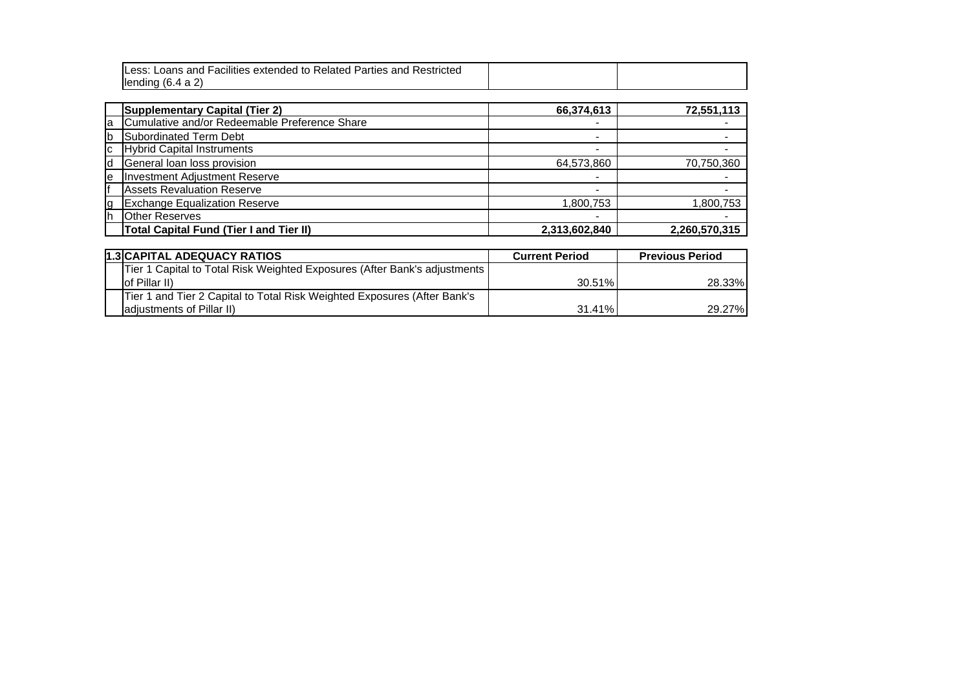|          | Less: Loans and Facilities extended to Related Parties and Restricted<br>lending $(6.4 a 2)$ |               |               |
|----------|----------------------------------------------------------------------------------------------|---------------|---------------|
|          | <b>Supplementary Capital (Tier 2)</b>                                                        | 66,374,613    | 72,551,113    |
| la       | Cumulative and/or Redeemable Preference Share                                                |               |               |
| <b>b</b> | Subordinated Term Debt                                                                       |               |               |
| Iс       | <b>Hybrid Capital Instruments</b>                                                            |               |               |
| ld       | General loan loss provision                                                                  | 64,573,860    | 70,750,360    |
| le       | <b>Investment Adjustment Reserve</b>                                                         |               |               |
| lf       | <b>Assets Revaluation Reserve</b>                                                            |               |               |
| g        | <b>Exchange Equalization Reserve</b>                                                         | 1,800,753     | ,800,753      |
| lh       | <b>Other Reserves</b>                                                                        | -             |               |
|          | <b>Total Capital Fund (Tier I and Tier II)</b>                                               | 2,313,602,840 | 2,260,570,315 |
|          |                                                                                              |               |               |
|          | <del>.</del>                                                                                 |               |               |

| <b>1.3 CAPITAL ADEQUACY RATIOS</b>                                        | <b>Current Period</b> | <b>Previous Period</b> |
|---------------------------------------------------------------------------|-----------------------|------------------------|
| Tier 1 Capital to Total Risk Weighted Exposures (After Bank's adjustments |                       |                        |
| lof Pillar II)                                                            | $30.51\%$             | 28.33%                 |
| Tier 1 and Tier 2 Capital to Total Risk Weighted Exposures (After Bank's  |                       |                        |
| ladiustments of Pillar II)                                                | 31.41%                | 29.27%                 |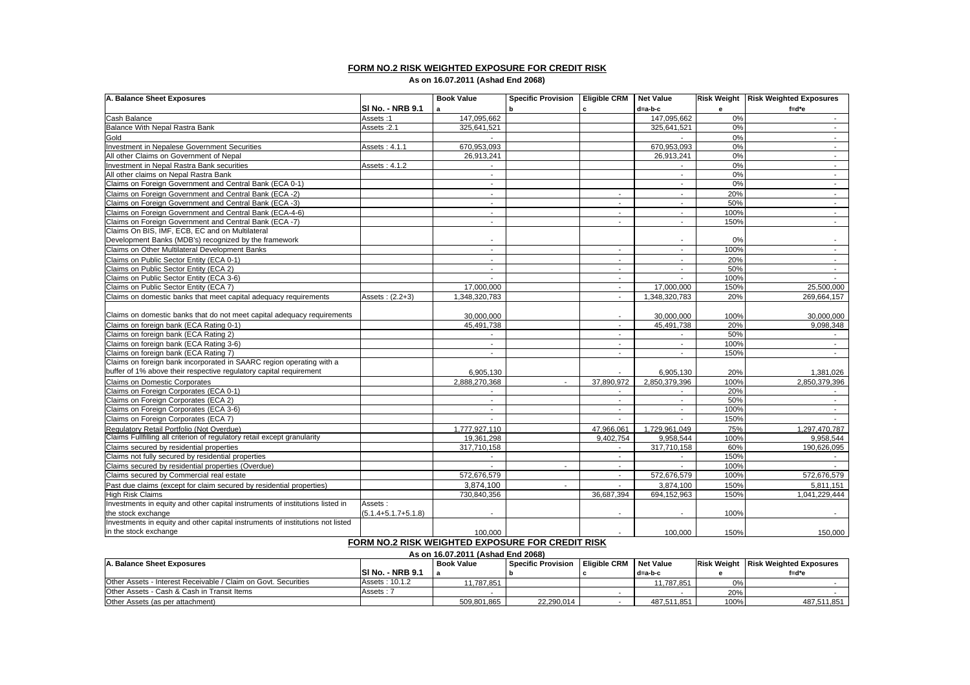## **FORM NO.2 RISK WEIGHTED EXPOSURE FOR CREDIT RISK**

**As on 16.07.2011 (Ashad End 2068)**

| A. Balance Sheet Exposures                                                     |                                                  | <b>Book Value</b>        | <b>Specific Provision</b> | <b>Eligible CRM</b>      | <b>Net Value</b>         |      | Risk Weight Risk Weighted Exposures |
|--------------------------------------------------------------------------------|--------------------------------------------------|--------------------------|---------------------------|--------------------------|--------------------------|------|-------------------------------------|
|                                                                                | ISI No. - NRB 9.1                                | a                        | b                         | $\mathbf{c}$             | d=a-b-c                  | е    | $f = d^*e$                          |
| Cash Balance                                                                   | Assets:1                                         | 147,095,662              |                           |                          | 147,095,662              | 0%   | $\sim$                              |
| Balance With Nepal Rastra Bank                                                 | Assets: 2.1                                      | 325,641,521              |                           |                          | 325,641,521              | 0%   | $\sim$                              |
| Gold                                                                           |                                                  |                          |                           |                          |                          | 0%   | $\sim$                              |
| Investment in Nepalese Government Securities                                   | Assets: 4.1.1                                    | 670,953,093              |                           |                          | 670,953,093              | 0%   | $\sim$                              |
| All other Claims on Government of Nepal                                        |                                                  | 26,913,241               |                           |                          | 26,913,241               | 0%   | $\sim$                              |
| Investment in Nepal Rastra Bank securities                                     | Assets: 4.1.2                                    |                          |                           |                          |                          | 0%   | $\sim$                              |
| All other claims on Nepal Rastra Bank                                          |                                                  | $\blacksquare$           |                           |                          | $\blacksquare$           | 0%   | $\sim$                              |
| Claims on Foreign Government and Central Bank (ECA 0-1)                        |                                                  | $\sim$                   |                           |                          | $\sim$                   | 0%   | $\sim$                              |
| Claims on Foreign Government and Central Bank (ECA -2)                         |                                                  | $\sim$                   |                           | $\overline{a}$           | $\sim$                   | 20%  | $\sim$                              |
| Claims on Foreign Government and Central Bank (ECA -3)                         |                                                  | $\sim$                   |                           | $\overline{\phantom{a}}$ | $\sim$                   | 50%  | $\sim$                              |
| Claims on Foreign Government and Central Bank (ECA-4-6)                        |                                                  | $\overline{\phantom{a}}$ |                           | $\sim$                   | $\sim$                   | 100% | $\sim$                              |
| Claims on Foreign Government and Central Bank (ECA -7)                         |                                                  | $\sim$                   |                           | $\sim$                   | $\sim$                   | 150% | $\sim$                              |
| Claims On BIS, IMF, ECB, EC and on Multilateral                                |                                                  |                          |                           |                          |                          |      |                                     |
| Development Banks (MDB's) recognized by the framework                          |                                                  |                          |                           |                          |                          | 0%   |                                     |
| Claims on Other Multilateral Development Banks                                 |                                                  | $\sim$                   |                           | $\sim$                   | $\sim$                   | 100% | $\sim$                              |
| Claims on Public Sector Entity (ECA 0-1)                                       |                                                  | $\blacksquare$           |                           | $\overline{\phantom{a}}$ | $\overline{\phantom{a}}$ | 20%  | $\blacksquare$                      |
| Claims on Public Sector Entity (ECA 2)                                         |                                                  | $\mathbf{r}$             |                           | $\sim$                   | $\overline{a}$           | 50%  | $\mathcal{L}^{\mathcal{A}}$         |
| Claims on Public Sector Entity (ECA 3-6)                                       |                                                  |                          |                           | $\sim$                   |                          | 100% |                                     |
| Claims on Public Sector Entity (ECA 7)                                         |                                                  | 17,000,000               |                           | $\overline{a}$           | 17.000.000               | 150% | 25,500,000                          |
| Claims on domestic banks that meet capital adequacy requirements               | Assets: (2.2+3)                                  | 1,348,320,783            |                           | $\sim$                   | 1,348,320,783            | 20%  | 269,664,157                         |
|                                                                                |                                                  |                          |                           |                          |                          |      |                                     |
| Claims on domestic banks that do not meet capital adequacy requirements        |                                                  | 30,000,000               |                           |                          | 30,000,000               | 100% | 30,000,000                          |
| Claims on foreign bank (ECA Rating 0-1)                                        |                                                  | 45,491,738               |                           | $\blacksquare$           | 45,491,738               | 20%  | 9,098,348                           |
| Claims on foreign bank (ECA Rating 2)                                          |                                                  | $\sim$                   |                           | $\sim$                   | $\sim$                   | 50%  | $\sim$                              |
| Claims on foreign bank (ECA Rating 3-6)                                        |                                                  | $\overline{a}$           |                           | $\sim$                   | $\overline{\phantom{a}}$ | 100% | $\sim$                              |
| Claims on foreign bank (ECA Rating 7)                                          |                                                  | $\sim$                   |                           | $\overline{\phantom{a}}$ | $\mathbf{r}$             | 150% | $\sim$                              |
| Claims on foreign bank incorporated in SAARC region operating with a           |                                                  |                          |                           |                          |                          |      |                                     |
| buffer of 1% above their respective regulatory capital requirement             |                                                  | 6.905.130                |                           |                          | 6.905.130                | 20%  | 1.381.026                           |
| Claims on Domestic Corporates                                                  |                                                  | 2,888,270,368            | $\sim$                    | 37,890,972               | 2,850,379,396            | 100% | 2,850,379,396                       |
| Claims on Foreign Corporates (ECA 0-1)                                         |                                                  |                          |                           |                          |                          | 20%  | $\sim$                              |
| Claims on Foreign Corporates (ECA 2)                                           |                                                  | $\sim$                   |                           | $\sim$                   | $\sim$                   | 50%  | $\sim$                              |
| Claims on Foreign Corporates (ECA 3-6)                                         |                                                  | $\sim$                   |                           | $\sim$                   | $\sim$                   | 100% | $\sim$                              |
| Claims on Foreign Corporates (ECA 7)                                           |                                                  | $\sim$                   |                           | $\sim$                   | $\sim$                   | 150% | $\sim$                              |
| Regulatory Retail Portfolio (Not Overdue)                                      |                                                  | 1,777,927,110            |                           | 47,966,061               | 1,729,961,049            | 75%  | 1,297,470,787                       |
| Claims Fullfilling all criterion of regulatory retail except granularity       |                                                  | 19,361,298               |                           | 9,402,754                | 9,958,544                | 100% | 9,958,544                           |
| Claims secured by residential properties                                       |                                                  | 317,710,158              |                           | $\sim$                   | 317,710,158              | 60%  | 190,626,095                         |
| Claims not fully secured by residential properties                             |                                                  |                          |                           |                          |                          | 150% |                                     |
| Claims secured by residential properties (Overdue)                             |                                                  |                          | $\sim$                    | $\blacksquare$           |                          | 100% |                                     |
| Claims secured by Commercial real estate                                       |                                                  | 572,676,579              |                           |                          | 572,676,579              | 100% | 572,676,579                         |
| Past due claims (except for claim secured by residential properties)           |                                                  | 3,874,100                | $\sim$                    | $\sim$                   | 3,874,100                | 150% | 5,811,151                           |
| <b>High Risk Claims</b>                                                        |                                                  | 730,840,356              |                           | 36,687,394               | 694,152,963              | 150% | 1,041,229,444                       |
| Investments in equity and other capital instruments of institutions listed in  | Assets:                                          |                          |                           |                          |                          |      |                                     |
| the stock exchange                                                             | $(5.1.4 + 5.1.7 + 5.1.8)$                        |                          |                           |                          |                          | 100% |                                     |
| Investments in equity and other capital instruments of institutions not listed |                                                  |                          |                           |                          |                          |      |                                     |
| in the stock exchange                                                          |                                                  | 100.000                  |                           |                          | 100.000                  | 150% | 150.000                             |
|                                                                                | FORM NO.2 RISK WEIGHTED EXPOSURE FOR CREDIT RISK |                          |                           |                          |                          |      |                                     |

**As on 16.07.2011 (Ashad End 2068)**

| A. Balance Sheet Exposures                                     |                         | <b>Book Value</b> | Specific Provision   Eligible CRM   Net Value |  |             |      | <b>Risk Weight Risk Weighted Exposures</b> |  |  |
|----------------------------------------------------------------|-------------------------|-------------------|-----------------------------------------------|--|-------------|------|--------------------------------------------|--|--|
|                                                                | <b>SI No. - NRB 9.1</b> |                   |                                               |  | d=a-b-c     |      | f=d*e                                      |  |  |
| Other Assets - Interest Receivable / Claim on Govt. Securities | Assets: 10.1.2          | 1.787.851         |                                               |  | 11.787.851  | በ%   |                                            |  |  |
| Other Assets - Cash & Cash in Transit Items                    | Assets: 7               |                   |                                               |  |             | 20%  |                                            |  |  |
| Other Assets (as per attachment)                               |                         | 509.801.865       | 22,290,014                                    |  | 487.511.851 | 100% | 487.511.851                                |  |  |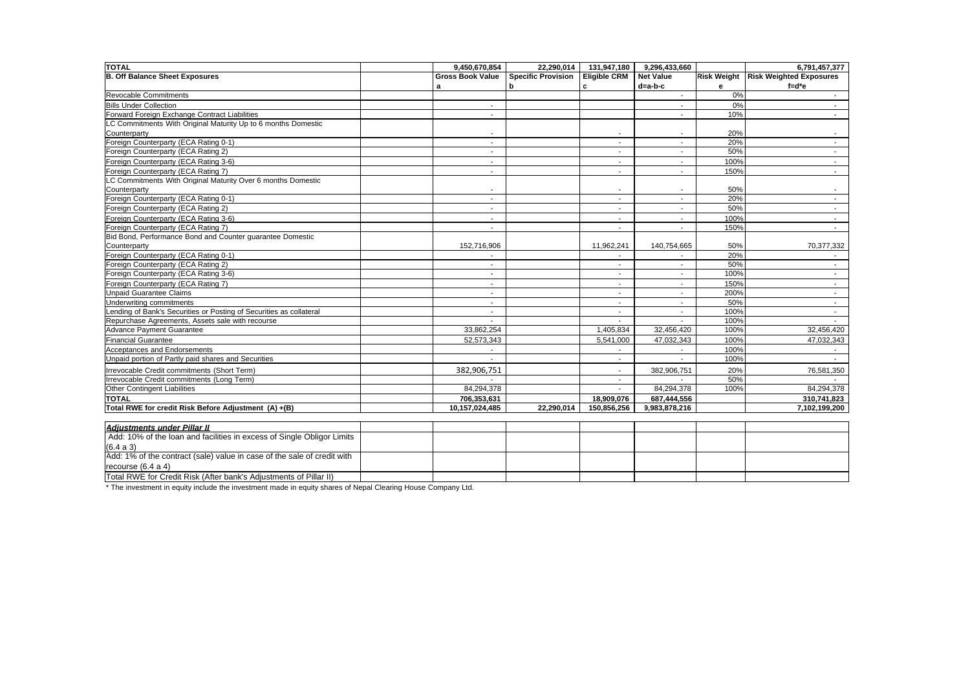| <b>TOTAL</b>                                                           | 9.450.670.854            | 22.290.014                | 131.947.180              | 9.296.433.660            |      | 6.791.457.377                         |
|------------------------------------------------------------------------|--------------------------|---------------------------|--------------------------|--------------------------|------|---------------------------------------|
| <b>B. Off Balance Sheet Exposures</b>                                  | <b>Gross Book Value</b>  | <b>Specific Provision</b> | <b>Eligible CRM</b>      | <b>Net Value</b>         |      | Risk Weight   Risk Weighted Exposures |
|                                                                        | a                        | h                         | c                        | d=a-b-c                  | е    | $f = d^*e$                            |
| <b>Revocable Commitments</b>                                           |                          |                           |                          | $\sim$                   | 0%   | $\sim$                                |
| <b>Bills Under Collection</b>                                          | $\overline{\phantom{a}}$ |                           |                          | $\overline{\phantom{a}}$ | 0%   | $\sim$                                |
| Forward Foreign Exchange Contract Liabilities                          | $\overline{\phantom{a}}$ |                           |                          | $\overline{\phantom{a}}$ | 10%  | $\sim$                                |
| LC Commitments With Original Maturity Up to 6 months Domestic          |                          |                           |                          |                          |      |                                       |
| Counterparty                                                           |                          |                           |                          | $\overline{\phantom{a}}$ | 20%  |                                       |
| Foreign Counterparty (ECA Rating 0-1)                                  | $\overline{\phantom{a}}$ |                           | $\overline{\phantom{a}}$ |                          | 20%  | $\sim$                                |
| Foreign Counterparty (ECA Rating 2)                                    | $\sim$                   |                           | $\sim$                   | $\sim$                   | 50%  | $\sim$                                |
| Foreign Counterparty (ECA Rating 3-6)                                  | $\sim$                   |                           | $\sim$                   | $\sim$                   | 100% | $\sim$                                |
| Foreign Counterparty (ECA Rating 7)                                    | $\overline{\phantom{a}}$ |                           | $\overline{\phantom{a}}$ | $\sim$                   | 150% | $\sim$                                |
| LC Commitments With Original Maturity Over 6 months Domestic           |                          |                           |                          |                          |      |                                       |
| Counterparty                                                           | $\overline{\phantom{a}}$ |                           |                          |                          | 50%  | $\overline{\phantom{a}}$              |
| Foreign Counterparty (ECA Rating 0-1)                                  | $\overline{\phantom{a}}$ |                           | $\overline{\phantom{a}}$ |                          | 20%  | $\sim$                                |
| Foreign Counterparty (ECA Rating 2)                                    | $\sim$                   |                           | $\overline{\phantom{a}}$ | $\sim$                   | 50%  | $\sim$                                |
| Foreign Counterparty (ECA Rating 3-6)                                  |                          |                           |                          |                          | 100% | $\sim$                                |
| Foreign Counterparty (ECA Rating 7)                                    | $\overline{\phantom{a}}$ |                           | $\overline{\phantom{a}}$ | $\overline{\phantom{a}}$ | 150% | $\sim$                                |
| Bid Bond, Performance Bond and Counter quarantee Domestic              |                          |                           |                          |                          |      |                                       |
| Counterparty                                                           | 152,716,906              |                           | 11,962,241               | 140,754,665              | 50%  | 70,377,332                            |
| Foreign Counterparty (ECA Rating 0-1)                                  |                          |                           |                          |                          | 20%  |                                       |
| Foreign Counterparty (ECA Rating 2)                                    |                          |                           |                          |                          | 50%  |                                       |
| Foreign Counterparty (ECA Rating 3-6)                                  | $\sim$                   |                           | $\sim$                   | $\sim$                   | 100% | $\sim$                                |
| Foreign Counterparty (ECA Rating 7)                                    | $\sim$                   |                           |                          | $\sim$                   | 150% | $\sim$                                |
| Unpaid Guarantee Claims                                                | $\overline{\phantom{a}}$ |                           |                          |                          | 200% | $\sim$                                |
| Underwriting commitments                                               | $\sim$                   |                           |                          |                          | 50%  | $\sim$                                |
| Lending of Bank's Securities or Posting of Securities as collateral    | $\sim$                   |                           | $\sim$                   | $\sim$                   | 100% | $\sim$                                |
| Repurchase Agreements, Assets sale with recourse                       |                          |                           |                          |                          | 100% |                                       |
| Advance Payment Guarantee                                              | 33,862,254               |                           | 1,405,834                | 32,456,420               | 100% | 32,456,420                            |
| <b>Financial Guarantee</b>                                             | 52.573.343               |                           | 5.541.000                | 47.032.343               | 100% | 47.032.343                            |
| Acceptances and Endorsements                                           |                          |                           |                          |                          | 100% |                                       |
| Unpaid portion of Partly paid shares and Securities                    |                          |                           |                          |                          | 100% |                                       |
| Irrevocable Credit commitments (Short Term)                            | 382,906,751              |                           | $\overline{\phantom{a}}$ | 382,906,751              | 20%  | 76,581,350                            |
| Irrevocable Credit commitments (Long Term)                             |                          |                           | $\sim$                   |                          | 50%  |                                       |
| Other Contingent Liabilities                                           | 84,294,378               |                           | $\sim$                   | 84,294,378               | 100% | 84,294,378                            |
| <b>TOTAL</b>                                                           | 706,353,631              |                           | 18,909,076               | 687,444,556              |      | 310,741,823                           |
| Total RWE for credit Risk Before Adjustment (A) +(B)                   | 10,157,024,485           | 22.290.014                | 150,856,256              | 9,983,878,216            |      | 7,102,199,200                         |
|                                                                        |                          |                           |                          |                          |      |                                       |
| <b>Adiustments under Pillar II</b>                                     |                          |                           |                          |                          |      |                                       |
| Add: 10% of the loan and facilities in excess of Single Obligor Limits |                          |                           |                          |                          |      |                                       |

| <b>Adiustinents under Pinar II</b>                                      |  |  |  |  |
|-------------------------------------------------------------------------|--|--|--|--|
| Add: 10% of the loan and facilities in excess of Single Obligor Limits  |  |  |  |  |
| (6.4 a 3)                                                               |  |  |  |  |
| Add: 1% of the contract (sale) value in case of the sale of credit with |  |  |  |  |
| recourse $(6.4 a 4)$                                                    |  |  |  |  |
| Total RWE for Credit Risk (After bank's Adjustments of Pillar II)       |  |  |  |  |

\* The investment in equity include the investment made in equity shares of Nepal Clearing House Company Ltd.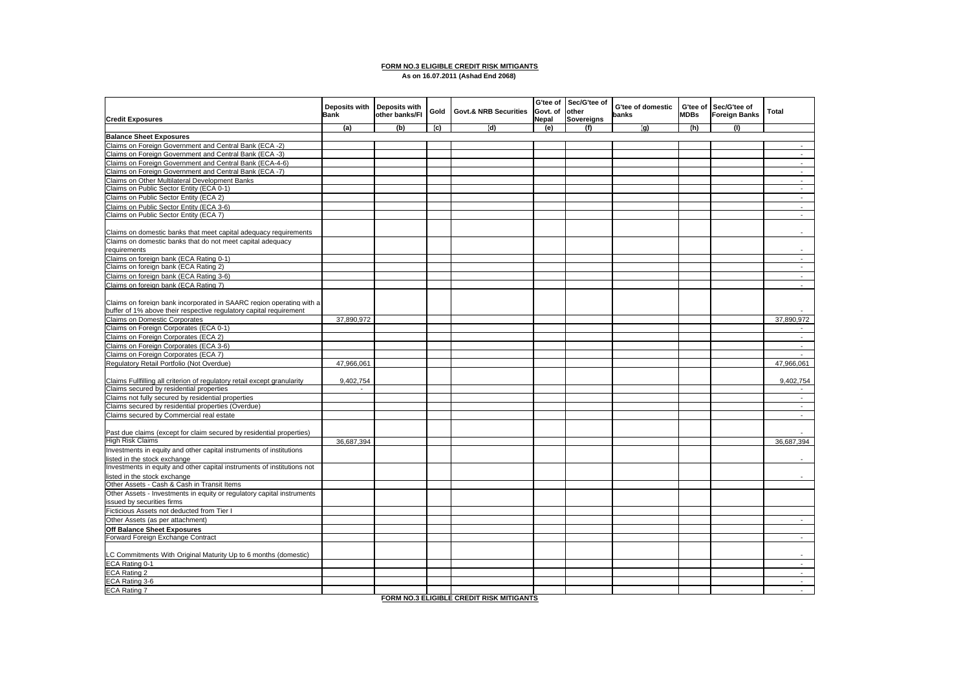#### **FORM NO.3 ELIGIBLE CREDIT RISK MITIGANTS As on 16.07.2011 (Ashad End 2068)**

| <b>Credit Exposures</b>                                                  | Deposits with<br><b>Bank</b> | <b>Deposits with</b><br>other banks/FI | Gold | <b>Govt.&amp; NRB Securities</b> | G'tee of<br>Govt. of<br>Nepal | Sec/G'tee of<br>other<br>Sovereigns | G'tee of domestic<br>banks | <b>MDBs</b> | G'tee of Sec/G'tee of<br><b>Foreign Banks</b> | Total          |
|--------------------------------------------------------------------------|------------------------------|----------------------------------------|------|----------------------------------|-------------------------------|-------------------------------------|----------------------------|-------------|-----------------------------------------------|----------------|
|                                                                          | (a)                          | (b)                                    | (c)  | (d)                              | (e)                           | (f)                                 | (q)                        | (h)         | (1)                                           |                |
| <b>Balance Sheet Exposures</b>                                           |                              |                                        |      |                                  |                               |                                     |                            |             |                                               |                |
| Claims on Foreign Government and Central Bank (ECA -2)                   |                              |                                        |      |                                  |                               |                                     |                            |             |                                               |                |
| Claims on Foreign Government and Central Bank (ECA -3)                   |                              |                                        |      |                                  |                               |                                     |                            |             |                                               | $\sim$         |
| Claims on Foreign Government and Central Bank (ECA-4-6)                  |                              |                                        |      |                                  |                               |                                     |                            |             |                                               | $\sim$         |
| Claims on Foreign Government and Central Bank (ECA -7)                   |                              |                                        |      |                                  |                               |                                     |                            |             |                                               | $\mathcal{L}$  |
| Claims on Other Multilateral Development Banks                           |                              |                                        |      |                                  |                               |                                     |                            |             |                                               | $\blacksquare$ |
| Claims on Public Sector Entity (ECA 0-1)                                 |                              |                                        |      |                                  |                               |                                     |                            |             |                                               | $\blacksquare$ |
| Claims on Public Sector Entity (ECA 2)                                   |                              |                                        |      |                                  |                               |                                     |                            |             |                                               | $\blacksquare$ |
| Claims on Public Sector Entity (ECA 3-6)                                 |                              |                                        |      |                                  |                               |                                     |                            |             |                                               | $\sim$         |
| Claims on Public Sector Entity (ECA 7)                                   |                              |                                        |      |                                  |                               |                                     |                            |             |                                               | $\mathbf{r}$   |
|                                                                          |                              |                                        |      |                                  |                               |                                     |                            |             |                                               |                |
| Claims on domestic banks that meet capital adequacy requirements         |                              |                                        |      |                                  |                               |                                     |                            |             |                                               |                |
| Claims on domestic banks that do not meet capital adequacy               |                              |                                        |      |                                  |                               |                                     |                            |             |                                               |                |
| requirements                                                             |                              |                                        |      |                                  |                               |                                     |                            |             |                                               | ٠              |
| Claims on foreign bank (ECA Rating 0-1)                                  |                              |                                        |      |                                  |                               |                                     |                            |             |                                               | $\blacksquare$ |
| Claims on foreign bank (ECA Rating 2)                                    |                              |                                        |      |                                  |                               |                                     |                            |             |                                               | $\sim$         |
|                                                                          |                              |                                        |      |                                  |                               |                                     |                            |             |                                               | $\sim$         |
| Claims on foreign bank (ECA Rating 3-6)                                  |                              |                                        |      |                                  |                               |                                     |                            |             |                                               |                |
| Claims on foreign bank (ECA Rating 7)                                    |                              |                                        |      |                                  |                               |                                     |                            |             |                                               |                |
|                                                                          |                              |                                        |      |                                  |                               |                                     |                            |             |                                               |                |
| Claims on foreign bank incorporated in SAARC region operating with a     |                              |                                        |      |                                  |                               |                                     |                            |             |                                               |                |
| buffer of 1% above their respective regulatory capital requirement       |                              |                                        |      |                                  |                               |                                     |                            |             |                                               |                |
| Claims on Domestic Corporates                                            | 37,890,972                   |                                        |      |                                  |                               |                                     |                            |             |                                               | 37,890,972     |
| Claims on Foreign Corporates (ECA 0-1)                                   |                              |                                        |      |                                  |                               |                                     |                            |             |                                               |                |
| Claims on Foreign Corporates (ECA 2)                                     |                              |                                        |      |                                  |                               |                                     |                            |             |                                               | $\blacksquare$ |
| Claims on Foreign Corporates (ECA 3-6)                                   |                              |                                        |      |                                  |                               |                                     |                            |             |                                               | $\sim$         |
| Claims on Foreign Corporates (ECA 7)                                     |                              |                                        |      |                                  |                               |                                     |                            |             |                                               | $\sim$         |
| Regulatory Retail Portfolio (Not Overdue)                                | 47,966,061                   |                                        |      |                                  |                               |                                     |                            |             |                                               | 47,966,061     |
|                                                                          |                              |                                        |      |                                  |                               |                                     |                            |             |                                               |                |
| Claims Fullfilling all criterion of regulatory retail except granularity | 9,402,754                    |                                        |      |                                  |                               |                                     |                            |             |                                               | 9,402,754      |
| Claims secured by residential properties                                 | $\sim$                       |                                        |      |                                  |                               |                                     |                            |             |                                               | $\sim$         |
| Claims not fully secured by residential properties                       |                              |                                        |      |                                  |                               |                                     |                            |             |                                               | $\sim$         |
| Claims secured by residential properties (Overdue)                       |                              |                                        |      |                                  |                               |                                     |                            |             |                                               | $\sim$         |
| Claims secured by Commercial real estate                                 |                              |                                        |      |                                  |                               |                                     |                            |             |                                               | $\blacksquare$ |
|                                                                          |                              |                                        |      |                                  |                               |                                     |                            |             |                                               |                |
| Past due claims (except for claim secured by residential properties)     |                              |                                        |      |                                  |                               |                                     |                            |             |                                               |                |
| <b>High Risk Claims</b>                                                  | 36.687.394                   |                                        |      |                                  |                               |                                     |                            |             |                                               | 36.687.394     |
| Investments in equity and other capital instruments of institutions      |                              |                                        |      |                                  |                               |                                     |                            |             |                                               |                |
| listed in the stock exchange                                             |                              |                                        |      |                                  |                               |                                     |                            |             |                                               |                |
| Investments in equity and other capital instruments of institutions not  |                              |                                        |      |                                  |                               |                                     |                            |             |                                               |                |
| listed in the stock exchange                                             |                              |                                        |      |                                  |                               |                                     |                            |             |                                               |                |
| Other Assets - Cash & Cash in Transit Items                              |                              |                                        |      |                                  |                               |                                     |                            |             |                                               |                |
| Other Assets - Investments in equity or regulatory capital instruments   |                              |                                        |      |                                  |                               |                                     |                            |             |                                               |                |
| issued by securities firms                                               |                              |                                        |      |                                  |                               |                                     |                            |             |                                               |                |
| Ficticious Assets not deducted from Tier I                               |                              |                                        |      |                                  |                               |                                     |                            |             |                                               |                |
| Other Assets (as per attachment)                                         |                              |                                        |      |                                  |                               |                                     |                            |             |                                               | $\sim$         |
|                                                                          |                              |                                        |      |                                  |                               |                                     |                            |             |                                               |                |
| Off Balance Sheet Exposures                                              |                              |                                        |      |                                  |                               |                                     |                            |             |                                               |                |
| Forward Foreign Exchange Contract                                        |                              |                                        |      |                                  |                               |                                     |                            |             |                                               | $\sim$         |
| LC Commitments With Original Maturity Up to 6 months (domestic)          |                              |                                        |      |                                  |                               |                                     |                            |             |                                               |                |
| ECA Rating 0-1                                                           |                              |                                        |      |                                  |                               |                                     |                            |             |                                               | $\sim$         |
| ECA Rating 2                                                             |                              |                                        |      |                                  |                               |                                     |                            |             |                                               | $\sim$         |
| ECA Rating 3-6                                                           |                              |                                        |      |                                  |                               |                                     |                            |             |                                               | $\mathbf{r}$   |
| ECA Rating 7                                                             |                              |                                        |      |                                  |                               |                                     |                            |             |                                               | $\sim$         |

**FORM NO.3 ELIGIBLE CREDIT RISK MITIGANTS**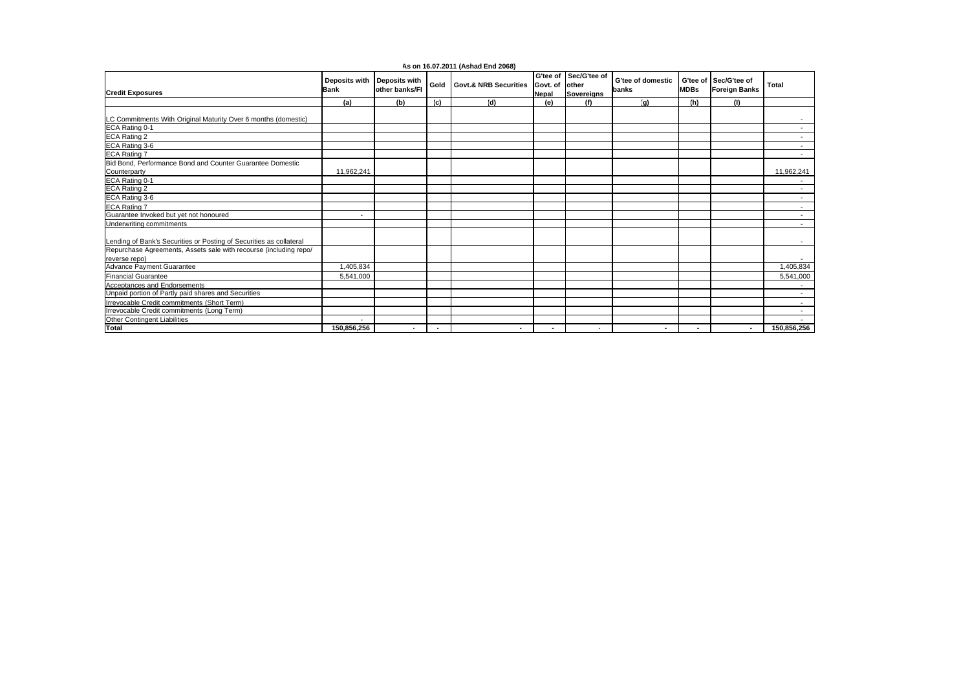|                                                                                  |                              |                                        |        | As on 16.07.2011 (Ashad End 2068) |                                |                                            |                            |                          |                                      |                          |
|----------------------------------------------------------------------------------|------------------------------|----------------------------------------|--------|-----------------------------------|--------------------------------|--------------------------------------------|----------------------------|--------------------------|--------------------------------------|--------------------------|
| <b>Credit Exposures</b>                                                          | Deposits with<br><b>Bank</b> | <b>Deposits with</b><br>other banks/FI | Gold   | <b>Govt.&amp; NRB Securities</b>  | Govt. of other<br><b>Nepal</b> | G'tee of Sec/G'tee of<br><b>Sovereians</b> | G'tee of domestic<br>banks | G'tee of<br><b>MDBs</b>  | Sec/G'tee of<br><b>Foreign Banks</b> | <b>Total</b>             |
|                                                                                  | (a)                          | (b)                                    | (c)    | (d)                               | (e)                            | (f)                                        | (a)                        | (h)                      | (1)                                  |                          |
| LC Commitments With Original Maturity Over 6 months (domestic)<br>ECA Rating 0-1 |                              |                                        |        |                                   |                                |                                            |                            |                          |                                      | $\sim$                   |
|                                                                                  |                              |                                        |        |                                   |                                |                                            |                            |                          |                                      | $\sim$                   |
| ECA Rating 2                                                                     |                              |                                        |        |                                   |                                |                                            |                            |                          |                                      | $\sim$                   |
| ECA Rating 3-6<br><b>ECA Rating 7</b>                                            |                              |                                        |        |                                   |                                |                                            |                            |                          |                                      | $\sim$<br>$\sim$         |
| Bid Bond, Performance Bond and Counter Guarantee Domestic<br>Counterparty        | 11,962,241                   |                                        |        |                                   |                                |                                            |                            |                          |                                      | 11,962,241               |
| ECA Rating 0-1                                                                   |                              |                                        |        |                                   |                                |                                            |                            |                          |                                      | $\sim$                   |
| ECA Rating 2                                                                     |                              |                                        |        |                                   |                                |                                            |                            |                          |                                      | $\sim$                   |
| ECA Rating 3-6                                                                   |                              |                                        |        |                                   |                                |                                            |                            |                          |                                      | $\sim$                   |
| ECA Rating 7                                                                     |                              |                                        |        |                                   |                                |                                            |                            |                          |                                      | $\overline{\phantom{a}}$ |
| Guarantee Invoked but yet not honoured                                           | $\overline{\phantom{a}}$     |                                        |        |                                   |                                |                                            |                            |                          |                                      | $\sim$                   |
| Underwriting commitments                                                         |                              |                                        |        |                                   |                                |                                            |                            |                          |                                      | $\sim$                   |
| Lending of Bank's Securities or Posting of Securities as collateral              |                              |                                        |        |                                   |                                |                                            |                            |                          |                                      | $\sim$                   |
| Repurchase Agreements, Assets sale with recourse (including repo/                |                              |                                        |        |                                   |                                |                                            |                            |                          |                                      |                          |
| reverse repo)                                                                    |                              |                                        |        |                                   |                                |                                            |                            |                          |                                      | $\sim$                   |
| Advance Payment Guarantee                                                        | 1,405,834                    |                                        |        |                                   |                                |                                            |                            |                          |                                      | 1,405,834                |
| <b>Financial Guarantee</b>                                                       | 5,541,000                    |                                        |        |                                   |                                |                                            |                            |                          |                                      | 5,541,000                |
| Acceptances and Endorsements                                                     |                              |                                        |        |                                   |                                |                                            |                            |                          |                                      | $\overline{\phantom{a}}$ |
| Unpaid portion of Partly paid shares and Securities                              |                              |                                        |        |                                   |                                |                                            |                            |                          |                                      | $\sim$                   |
| Irrevocable Credit commitments (Short Term)                                      |                              |                                        |        |                                   |                                |                                            |                            |                          |                                      | $\sim$                   |
| Irrevocable Credit commitments (Long Term)                                       |                              |                                        |        |                                   |                                |                                            |                            |                          |                                      | $\sim$                   |
| Other Contingent Liabilities                                                     | ٠                            |                                        |        |                                   |                                |                                            |                            |                          |                                      |                          |
| Total                                                                            | 150,856,256                  | $\sim$                                 | $\sim$ | ۰.                                | ۰                              | $\sim$                                     | $\sim$                     | $\overline{\phantom{a}}$ | $\sim$                               | 150,856,256              |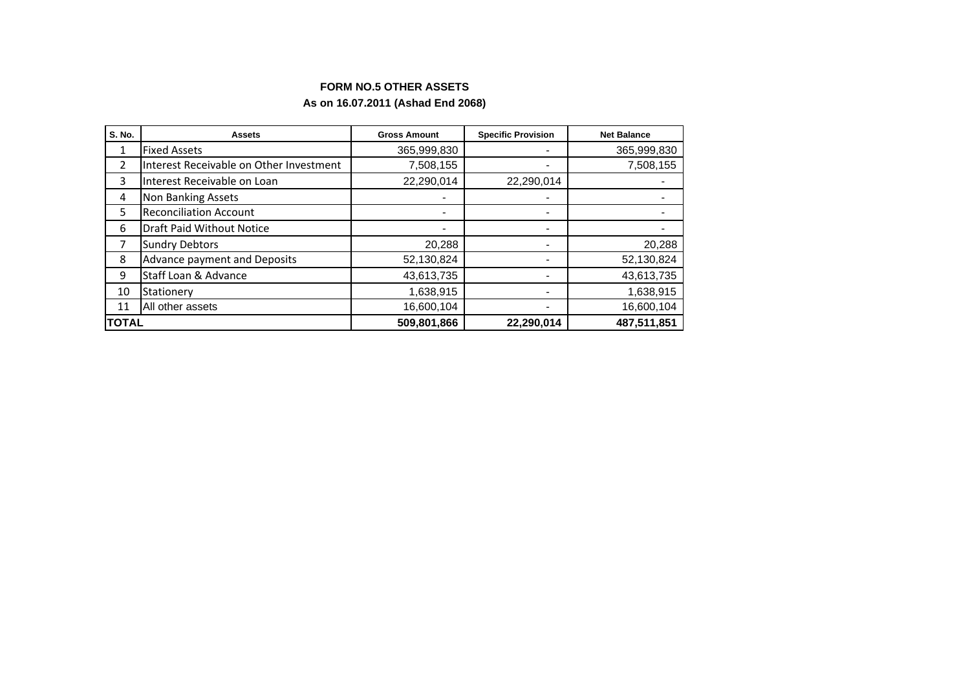# **FORM NO.5 OTHER ASSETS**

# **As on 16.07.2011 (Ashad End 2068)**

| <b>S. No.</b>  | <b>Assets</b>                           | <b>Gross Amount</b>          | <b>Specific Provision</b> | <b>Net Balance</b> |
|----------------|-----------------------------------------|------------------------------|---------------------------|--------------------|
| 1              | <b>Fixed Assets</b>                     | 365,999,830                  |                           | 365,999,830        |
| $\overline{2}$ | Interest Receivable on Other Investment | 7,508,155                    | -                         | 7,508,155          |
| 3              | Interest Receivable on Loan             | 22,290,014                   | 22,290,014                |                    |
| 4              | Non Banking Assets                      |                              |                           |                    |
| 5              | <b>Reconciliation Account</b>           | $\qquad \qquad \blacksquare$ |                           |                    |
| 6              | <b>Draft Paid Without Notice</b>        | $\blacksquare$               | -                         |                    |
|                | <b>Sundry Debtors</b>                   | 20,288                       | -                         | 20,288             |
| 8              | Advance payment and Deposits            | 52,130,824                   |                           | 52,130,824         |
| 9              | Staff Loan & Advance                    | 43,613,735                   | -                         | 43,613,735         |
| 10             | Stationery                              | 1,638,915                    | -                         | 1,638,915          |
| 11             | All other assets                        | 16,600,104                   | -                         | 16,600,104         |
| <b>TOTAL</b>   |                                         | 509,801,866                  | 22,290,014                | 487,511,851        |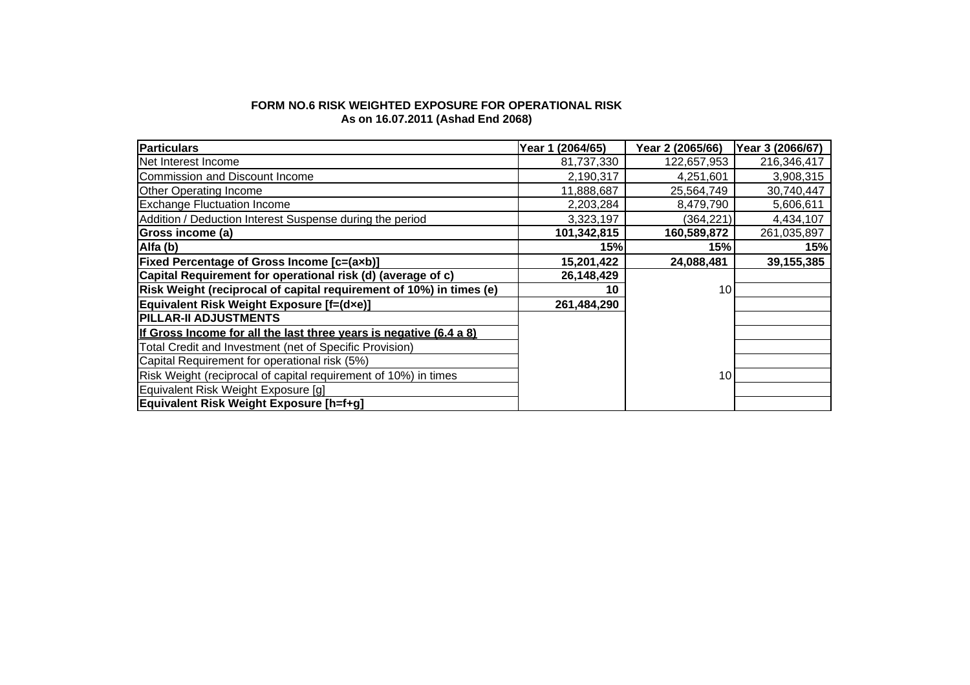## **FORM NO.6 RISK WEIGHTED EXPOSURE FOR OPERATIONAL RISK As on 16.07.2011 (Ashad End 2068)**

| <b>Particulars</b>                                                  | (2064/65)<br>Year 1 | Year 2 (2065/66) | Year 3 (2066/67) |
|---------------------------------------------------------------------|---------------------|------------------|------------------|
| Net Interest Income                                                 | 81,737,330          | 122,657,953      | 216,346,417      |
| Commission and Discount Income                                      | 2,190,317           | 4.251.601        | 3,908,315        |
| <b>Other Operating Income</b>                                       | 11,888,687          | 25,564,749       | 30,740,447       |
| <b>Exchange Fluctuation Income</b>                                  | 2,203,284           | 8,479,790        | 5,606,611        |
| Addition / Deduction Interest Suspense during the period            | 3,323,197           | (364, 221)       | 4,434,107        |
| Gross income (a)                                                    | 101,342,815         | 160,589,872      | 261,035,897      |
| Alfa (b)                                                            | 15%                 | 15%              | 15%              |
| <b>Fixed Percentage of Gross Income [c=(axb)]</b>                   | 15,201,422          | 24,088,481       | 39,155,385       |
| Capital Requirement for operational risk (d) (average of c)         | 26,148,429          |                  |                  |
| Risk Weight (reciprocal of capital requirement of 10%) in times (e) | 10                  | 10               |                  |
| Equivalent Risk Weight Exposure [f=(dxe)]                           | 261,484,290         |                  |                  |
| <b>PILLAR-II ADJUSTMENTS</b>                                        |                     |                  |                  |
| If Gross Income for all the last three years is negative (6.4 a 8)  |                     |                  |                  |
| Total Credit and Investment (net of Specific Provision)             |                     |                  |                  |
| Capital Requirement for operational risk (5%)                       |                     |                  |                  |
| Risk Weight (reciprocal of capital requirement of 10%) in times     |                     | 10               |                  |
| Equivalent Risk Weight Exposure [g]                                 |                     |                  |                  |
| <b>Equivalent Risk Weight Exposure [h=f+g]</b>                      |                     |                  |                  |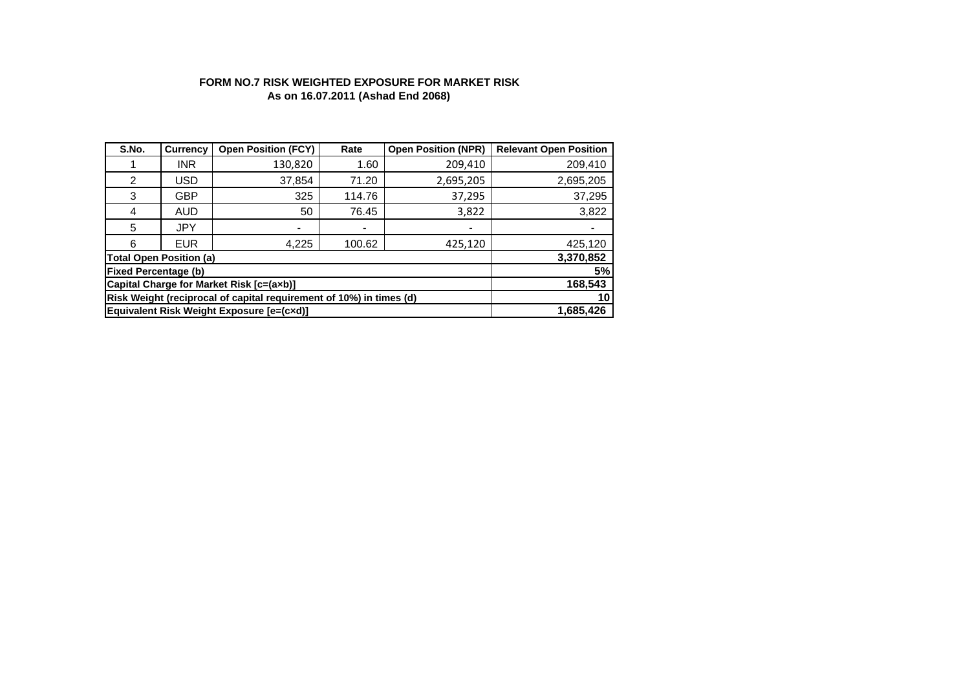## **FORM NO.7 RISK WEIGHTED EXPOSURE FOR MARKET RISK As on 16.07.2011 (Ashad End 2068)**

| S.No.                                                               | <b>Currency</b> | <b>Open Position (FCY)</b> | Rate                     | <b>Open Position (NPR)</b> | <b>Relevant Open Position</b> |
|---------------------------------------------------------------------|-----------------|----------------------------|--------------------------|----------------------------|-------------------------------|
|                                                                     | <b>INR</b>      | 130,820                    | 1.60                     | 209,410                    | 209,410                       |
| 2                                                                   | <b>USD</b>      | 37,854                     | 71.20                    | 2,695,205                  | 2,695,205                     |
| 3                                                                   | GBP             | 325                        | 114.76                   | 37,295                     | 37,295                        |
| 4                                                                   | AUD             | 50                         | 76.45                    | 3,822                      | 3,822                         |
| 5                                                                   | <b>JPY</b>      | $\blacksquare$             | $\overline{\phantom{a}}$ |                            |                               |
| 6                                                                   | <b>EUR</b>      | 4,225                      | 100.62                   | 425,120                    | 425,120                       |
| <b>Total Open Position (a)</b>                                      | 3,370,852       |                            |                          |                            |                               |
| <b>Fixed Percentage (b)</b>                                         | 5%              |                            |                          |                            |                               |
| Capital Charge for Market Risk [c=(axb)]                            | 168,543         |                            |                          |                            |                               |
| Risk Weight (reciprocal of capital requirement of 10%) in times (d) | 10              |                            |                          |                            |                               |
| Equivalent Risk Weight Exposure [e=(cxd)]                           | 1,685,426       |                            |                          |                            |                               |